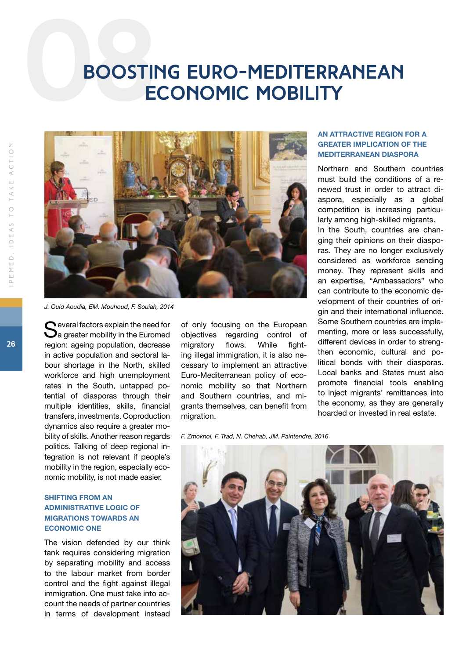# **BOOSTIL Boosting Euro-Mediterranean economic mobility**



*J. Ould Aoudia, EM. Mouhoud, F. Souiah, 2014*

Several factors explain the need for<br>Sa greater mobility in the Euromed region: ageing population, decrease in active population and sectoral labour shortage in the North, skilled workforce and high unemployment rates in the South, untapped potential of diasporas through their multiple identities, skills, financial transfers, investments. Coproduction dynamics also require a greater mobility of skills. Another reason regards politics. Talking of deep regional integration is not relevant if people's mobility in the region, especially economic mobility, is not made easier.

### SHIFTING FROM AN ADMINISTRATIVE LOGIC OF MIGRATIONS TOWARDS AN ECONOMIC ONE

The vision defended by our think tank requires considering migration by separating mobility and access to the labour market from border control and the fight against illegal immigration. One must take into account the needs of partner countries in terms of development instead

of only focusing on the European objectives regarding control of migratory flows. While fighting illegal immigration, it is also necessary to implement an attractive Euro-Mediterranean policy of economic mobility so that Northern and Southern countries, and migrants themselves, can benefit from migration.

#### AN ATTRACTIVE REGION FOR A GREATER IMPLICATION OF THE MEDITERRANEAN DIASPORA

Northern and Southern countries must build the conditions of a renewed trust in order to attract diaspora, especially as a global competition is increasing particularly among high-skilled migrants. In the South, countries are changing their opinions on their diasporas. They are no longer exclusively considered as workforce sending money. They represent skills and an expertise, "Ambassadors" who can contribute to the economic development of their countries of origin and their international influence. Some Southern countries are implementing, more or less successfully, different devices in order to strengthen economic, cultural and political bonds with their diasporas. Local banks and States must also promote financial tools enabling to inject migrants' remittances into the economy, as they are generally hoarded or invested in real estate.

*F. Zmokhol, F. Trad, N. Chehab, JM. Paintendre, 2016*